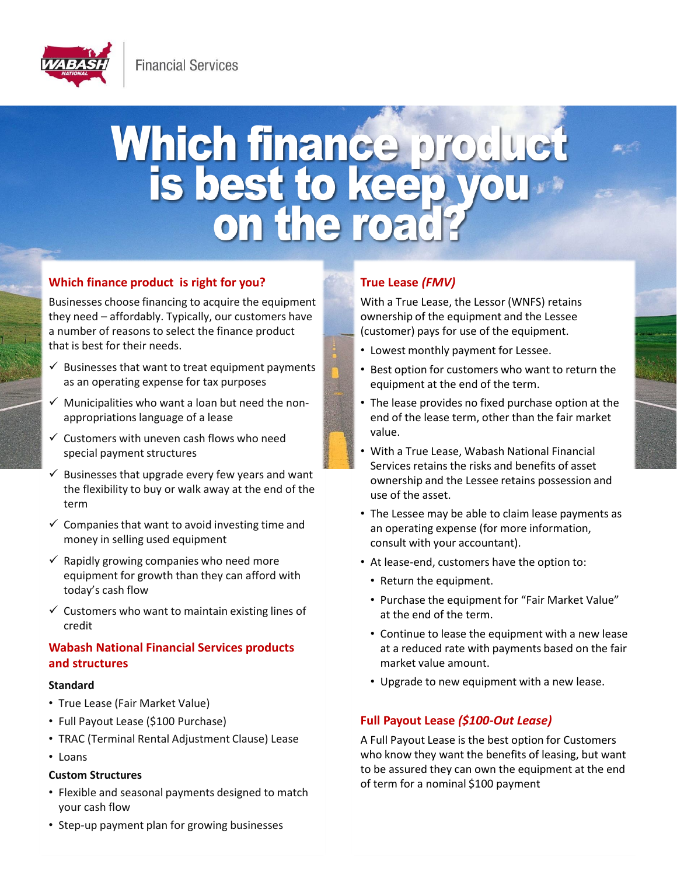

# Which finance product<br>is best to keep you

# **Which finance product is right for you?**

Businesses choose financing to acquire the equipment they need – affordably. Typically, our customers have a number of reasons to select the finance product that is best for their needs.

- $\checkmark$  Businesses that want to treat equipment payments as an operating expense for tax purposes
- $\checkmark$  Municipalities who want a loan but need the nonappropriations language of a lease
- $\checkmark$  Customers with uneven cash flows who need special payment structures
- $\checkmark$  Businesses that upgrade every few years and want the flexibility to buy or walk away at the end of the term
- $\checkmark$  Companies that want to avoid investing time and money in selling used equipment
- $\checkmark$  Rapidly growing companies who need more equipment for growth than they can afford with today's cash flow
- $\checkmark$  Customers who want to maintain existing lines of credit

# **Wabash National Financial Services products and structures**

### **Standard**

- True Lease (Fair Market Value)
- Full Payout Lease (\$100 Purchase)
- TRAC (Terminal Rental Adjustment Clause) Lease
- Loans

## **Custom Structures**

• Flexible and seasonal payments designed to match your cash flow

# **True Lease** *(FMV)*

With a True Lease, the Lessor (WNFS) retains ownership of the equipment and the Lessee (customer) pays for use of the equipment.

- Lowest monthly payment for Lessee.
- Best option for customers who want to return the equipment at the end of the term.
- The lease provides no fixed purchase option at the end of the lease term, other than the fair market value.
- With a True Lease, Wabash National Financial Services retains the risks and benefits of asset ownership and the Lessee retains possession and use of the asset.
- The Lessee may be able to claim lease payments as an operating expense (for more information, consult with your accountant).
- At lease-end, customers have the option to:
	- Return the equipment.
	- Purchase the equipment for "Fair Market Value" at the end of the term.
	- Continue to lease the equipment with a new lease at a reduced rate with payments based on the fair market value amount.
	- Upgrade to new equipment with a new lease.

# **Full Payout Lease** *(\$100-Out Lease)*

A Full Payout Lease is the best option for Customers who know they want the benefits of leasing, but want to be assured they can own the equipment at the end of term for a nominal \$100 payment

• Step-up payment plan for growing businesses